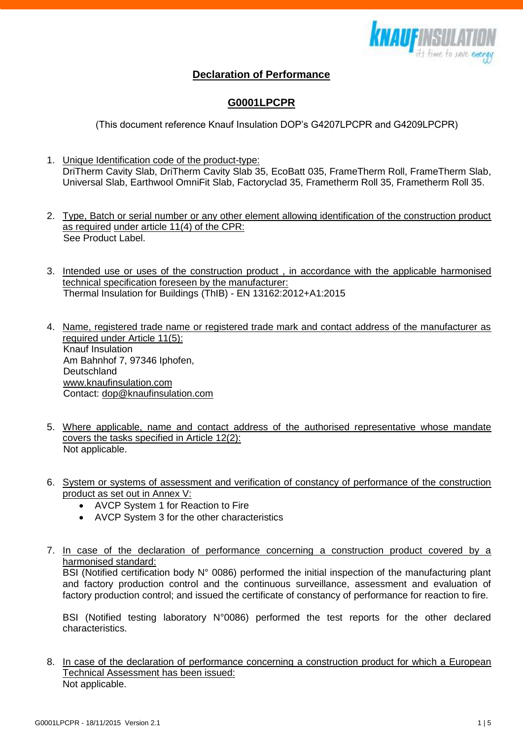

## **Declaration of Performance**

## **G0001LPCPR**

(This document reference Knauf Insulation DOP's G4207LPCPR and G4209LPCPR)

- 1. Unique Identification code of the product-type: DriTherm Cavity Slab, DriTherm Cavity Slab 35, EcoBatt 035, FrameTherm Roll, FrameTherm Slab, Universal Slab, Earthwool OmniFit Slab, Factoryclad 35, Frametherm Roll 35, Frametherm Roll 35.
- 2. Type, Batch or serial number or any other element allowing identification of the construction product as required under article 11(4) of the CPR: See Product Label.
- 3. Intended use or uses of the construction product , in accordance with the applicable harmonised technical specification foreseen by the manufacturer: Thermal Insulation for Buildings (ThIB) - EN 13162:2012+A1:2015
- 4. Name, registered trade name or registered trade mark and contact address of the manufacturer as required under Article 11(5): Knauf Insulation Am Bahnhof 7, 97346 Iphofen, **Deutschland** [www.knaufinsulation.com](http://www.knaufinsulation.com/) Contact: [dop@knaufinsulation.com](mailto:dop@knaufinsulation.com)
- 5. Where applicable, name and contact address of the authorised representative whose mandate covers the tasks specified in Article 12(2): Not applicable.
- 6. System or systems of assessment and verification of constancy of performance of the construction product as set out in Annex V:
	- AVCP System 1 for Reaction to Fire
	- AVCP System 3 for the other characteristics
- 7. In case of the declaration of performance concerning a construction product covered by a harmonised standard:

BSI (Notified certification body N° 0086) performed the initial inspection of the manufacturing plant and factory production control and the continuous surveillance, assessment and evaluation of factory production control; and issued the certificate of constancy of performance for reaction to fire.

BSI (Notified testing laboratory N°0086) performed the test reports for the other declared characteristics.

8. In case of the declaration of performance concerning a construction product for which a European Technical Assessment has been issued: Not applicable.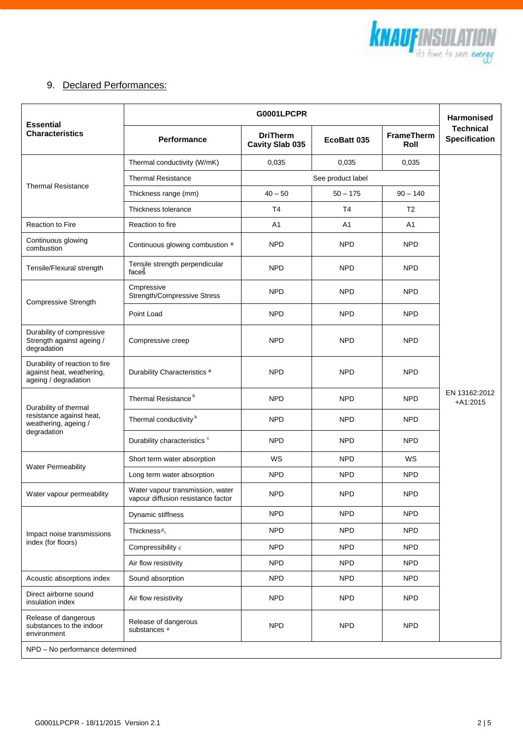

## 9. Declared Performances:

| <b>Essential</b><br><b>Characteristics</b>                                               | <b>G0001LPCPR</b>                                                      |                                    |                |                           | <b>Harmonised</b>                        |
|------------------------------------------------------------------------------------------|------------------------------------------------------------------------|------------------------------------|----------------|---------------------------|------------------------------------------|
|                                                                                          | Performance                                                            | <b>DriTherm</b><br>Cavity Slab 035 | EcoBatt 035    | <b>FrameTherm</b><br>Roll | <b>Technical</b><br><b>Specification</b> |
| <b>Thermal Resistance</b>                                                                | Thermal conductivity (W/mK)                                            | 0,035                              | 0,035          | 0,035                     |                                          |
|                                                                                          | <b>Thermal Resistance</b><br>See product label                         |                                    |                |                           |                                          |
|                                                                                          | Thickness range (mm)                                                   | $40 - 50$                          | $50 - 175$     | $90 - 140$                | EN 13162:2012<br>$+A1:2015$              |
|                                                                                          | Thickness tolerance                                                    | T <sub>4</sub>                     | T <sub>4</sub> | T <sub>2</sub>            |                                          |
| Reaction to Fire                                                                         | Reaction to fire                                                       | A1                                 | A1             | A1                        |                                          |
| Continuous glowing<br>combustion                                                         | Continuous glowing combustion <sup>e</sup>                             | <b>NPD</b>                         | <b>NPD</b>     | <b>NPD</b>                |                                          |
| Tensile/Flexural strength                                                                | Tensile strength perpendicular<br>faces                                | <b>NPD</b>                         | <b>NPD</b>     | <b>NPD</b>                |                                          |
| Compressive Strength                                                                     | Cmpressive<br>Strength/Compressive Stress                              | <b>NPD</b>                         | <b>NPD</b>     | <b>NPD</b>                |                                          |
|                                                                                          | Point Load                                                             | <b>NPD</b>                         | <b>NPD</b>     | <b>NPD</b>                |                                          |
| Durability of compressive<br>Strength against ageing /<br>degradation                    | Compressive creep                                                      | <b>NPD</b>                         | <b>NPD</b>     | <b>NPD</b>                |                                          |
| Durability of reaction to fire<br>against heat, weathering,<br>ageing / degradation      | Durability Characteristics <sup>a</sup>                                | <b>NPD</b>                         | <b>NPD</b>     | <b>NPD</b>                |                                          |
| Durability of thermal<br>resistance against heat,<br>weathering, ageing /<br>degradation | Thermal Resistance <sup>b</sup>                                        | <b>NPD</b>                         | <b>NPD</b>     | <b>NPD</b>                |                                          |
|                                                                                          | Thermal conductivity <sup>b</sup>                                      | <b>NPD</b>                         | <b>NPD</b>     | <b>NPD</b>                |                                          |
|                                                                                          | Durability characteristics c                                           | <b>NPD</b>                         | <b>NPD</b>     | <b>NPD</b>                |                                          |
| <b>Water Permeability</b>                                                                | Short term water absorption                                            | <b>WS</b>                          | <b>NPD</b>     | <b>WS</b>                 |                                          |
|                                                                                          | Long term water absorption                                             | <b>NPD</b>                         | <b>NPD</b>     | <b>NPD</b>                |                                          |
| Water vapour permeability                                                                | Water vapour transmission, water<br>vapour diffusion resistance factor | <b>NPD</b>                         | <b>NPD</b>     | <b>NPD</b>                |                                          |
| Impact noise transmissions<br>index (for floors)                                         | Dynamic stiffness                                                      | <b>NPD</b>                         | <b>NPD</b>     | <b>NPD</b>                |                                          |
|                                                                                          | Thickness <sup>d</sup>                                                 | <b>NPD</b>                         | <b>NPD</b>     | <b>NPD</b>                |                                          |
|                                                                                          | Compressibility c                                                      | <b>NPD</b>                         | <b>NPD</b>     | <b>NPD</b>                |                                          |
|                                                                                          | Air flow resistivity                                                   | <b>NPD</b>                         | <b>NPD</b>     | <b>NPD</b>                |                                          |
| Acoustic absorptions index                                                               | Sound absorption                                                       | <b>NPD</b>                         | <b>NPD</b>     | <b>NPD</b>                |                                          |
| Direct airborne sound<br>insulation index                                                | Air flow resistivity                                                   | <b>NPD</b>                         | <b>NPD</b>     | <b>NPD</b>                |                                          |
| Release of dangerous<br>substances to the indoor<br>environment                          | Release of dangerous<br>substances <sup>e</sup>                        | <b>NPD</b>                         | <b>NPD</b>     | <b>NPD</b>                |                                          |
| NPD - No performance determined                                                          |                                                                        |                                    |                |                           |                                          |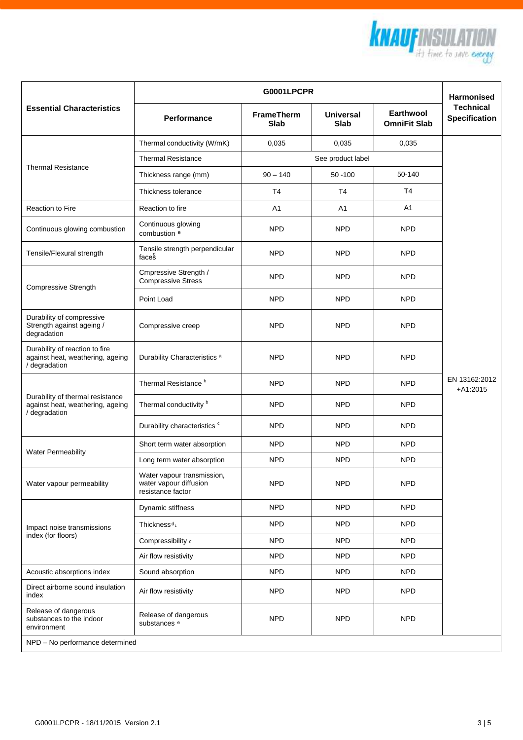

|                                                                                       | <b>G0001LPCPR</b>                                                         |                                  |                                 |                                  | <b>Harmonised</b>                        |  |  |
|---------------------------------------------------------------------------------------|---------------------------------------------------------------------------|----------------------------------|---------------------------------|----------------------------------|------------------------------------------|--|--|
| <b>Essential Characteristics</b>                                                      | Performance                                                               | <b>FrameTherm</b><br><b>Slab</b> | <b>Universal</b><br><b>Slab</b> | Earthwool<br><b>OmniFit Slab</b> | <b>Technical</b><br><b>Specification</b> |  |  |
| <b>Thermal Resistance</b>                                                             | Thermal conductivity (W/mK)                                               | 0,035                            | 0,035                           | 0,035                            | EN 13162:2012<br>$+A1:2015$              |  |  |
|                                                                                       | <b>Thermal Resistance</b>                                                 |                                  | See product label               |                                  |                                          |  |  |
|                                                                                       | Thickness range (mm)                                                      | $90 - 140$                       | $50 - 100$                      | 50-140                           |                                          |  |  |
|                                                                                       | Thickness tolerance                                                       | T <sub>4</sub>                   | T <sub>4</sub>                  | T <sub>4</sub>                   |                                          |  |  |
| <b>Reaction to Fire</b>                                                               | Reaction to fire                                                          | A1                               | A1                              | A1                               |                                          |  |  |
| Continuous glowing combustion                                                         | Continuous glowing<br>combustion <sup>e</sup>                             | <b>NPD</b>                       | <b>NPD</b>                      | <b>NPD</b>                       |                                          |  |  |
| Tensile/Flexural strength                                                             | Tensile strength perpendicular<br>faces                                   | <b>NPD</b>                       | NPD                             | <b>NPD</b>                       |                                          |  |  |
| <b>Compressive Strength</b>                                                           | Cmpressive Strength /<br><b>Compressive Stress</b>                        | <b>NPD</b>                       | <b>NPD</b>                      | <b>NPD</b>                       |                                          |  |  |
|                                                                                       | Point Load                                                                | <b>NPD</b>                       | <b>NPD</b>                      | <b>NPD</b>                       |                                          |  |  |
| Durability of compressive<br>Strength against ageing /<br>degradation                 | Compressive creep                                                         | <b>NPD</b>                       | <b>NPD</b>                      | <b>NPD</b>                       |                                          |  |  |
| Durability of reaction to fire<br>against heat, weathering, ageing<br>/ degradation   | Durability Characteristics <sup>a</sup>                                   | <b>NPD</b>                       | <b>NPD</b>                      | <b>NPD</b>                       |                                          |  |  |
| Durability of thermal resistance<br>against heat, weathering, ageing<br>/ degradation | Thermal Resistance <sup>b</sup>                                           | <b>NPD</b>                       | <b>NPD</b>                      | <b>NPD</b>                       |                                          |  |  |
|                                                                                       | Thermal conductivity <sup>b</sup>                                         | <b>NPD</b>                       | <b>NPD</b>                      | <b>NPD</b>                       |                                          |  |  |
|                                                                                       | Durability characteristics c                                              | <b>NPD</b>                       | <b>NPD</b>                      | <b>NPD</b>                       |                                          |  |  |
| <b>Water Permeability</b>                                                             | Short term water absorption                                               | <b>NPD</b>                       | <b>NPD</b>                      | <b>NPD</b>                       |                                          |  |  |
|                                                                                       | Long term water absorption                                                | <b>NPD</b>                       | <b>NPD</b>                      | <b>NPD</b>                       |                                          |  |  |
| Water vapour permeability                                                             | Water vapour transmission,<br>water vapour diffusion<br>resistance factor | <b>NPD</b>                       | <b>NPD</b>                      | <b>NPD</b>                       |                                          |  |  |
| Impact noise transmissions<br>index (for floors)                                      | Dynamic stiffness                                                         | <b>NPD</b>                       | <b>NPD</b>                      | <b>NPD</b>                       |                                          |  |  |
|                                                                                       | Thickness <sup>d</sup>                                                    | <b>NPD</b>                       | <b>NPD</b>                      | <b>NPD</b>                       |                                          |  |  |
|                                                                                       | Compressibility c                                                         | <b>NPD</b>                       | NPD                             | <b>NPD</b>                       |                                          |  |  |
|                                                                                       | Air flow resistivity                                                      | <b>NPD</b>                       | NPD                             | <b>NPD</b>                       |                                          |  |  |
| Acoustic absorptions index                                                            | Sound absorption                                                          | <b>NPD</b>                       | <b>NPD</b>                      | <b>NPD</b>                       |                                          |  |  |
| Direct airborne sound insulation<br>index                                             | Air flow resistivity                                                      | <b>NPD</b>                       | <b>NPD</b>                      | <b>NPD</b>                       |                                          |  |  |
| Release of dangerous<br>substances to the indoor<br>environment                       | Release of dangerous<br>substances <sup>e</sup>                           | <b>NPD</b>                       | <b>NPD</b>                      | <b>NPD</b>                       |                                          |  |  |
| NPD - No performance determined                                                       |                                                                           |                                  |                                 |                                  |                                          |  |  |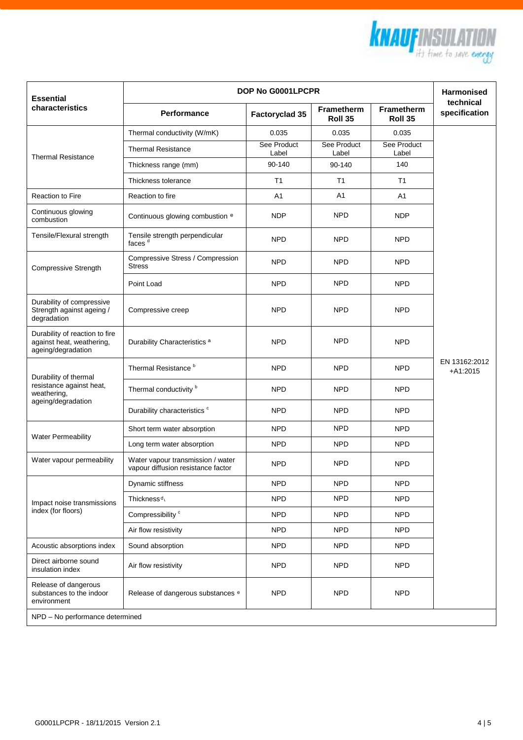

| <b>Essential</b>                                                                  | DOP No G0001LPCPR                                                       |                      |                              |                              | <b>Harmonised</b>           |  |
|-----------------------------------------------------------------------------------|-------------------------------------------------------------------------|----------------------|------------------------------|------------------------------|-----------------------------|--|
| characteristics                                                                   | <b>Performance</b>                                                      | Factoryclad 35       | <b>Frametherm</b><br>Roll 35 | <b>Frametherm</b><br>Roll 35 | technical<br>specification  |  |
| <b>Thermal Resistance</b>                                                         | Thermal conductivity (W/mK)                                             | 0.035                | 0.035                        | 0.035                        | EN 13162:2012<br>$+A1:2015$ |  |
|                                                                                   | <b>Thermal Resistance</b>                                               | See Product<br>Label | See Product<br>Label         | See Product<br>Label         |                             |  |
|                                                                                   | Thickness range (mm)                                                    | 90-140               | 90-140                       | 140                          |                             |  |
|                                                                                   | Thickness tolerance                                                     | T <sub>1</sub>       | T <sub>1</sub>               | T1                           |                             |  |
| <b>Reaction to Fire</b>                                                           | Reaction to fire                                                        | A <sub>1</sub>       | A1                           | A1                           |                             |  |
| Continuous glowing<br>combustion                                                  | Continuous glowing combustion <sup>e</sup>                              | <b>NDP</b>           | <b>NPD</b>                   | <b>NDP</b>                   |                             |  |
| Tensile/Flexural strength                                                         | Tensile strength perpendicular<br>faces <sup>d</sup>                    | <b>NPD</b>           | <b>NPD</b>                   | <b>NPD</b>                   |                             |  |
| Compressive Strength                                                              | Compressive Stress / Compression<br><b>Stress</b>                       | <b>NPD</b>           | <b>NPD</b>                   | <b>NPD</b>                   |                             |  |
|                                                                                   | Point Load                                                              | <b>NPD</b>           | <b>NPD</b>                   | <b>NPD</b>                   |                             |  |
| Durability of compressive<br>Strength against ageing /<br>degradation             | Compressive creep                                                       | <b>NPD</b>           | <b>NPD</b>                   | <b>NPD</b>                   |                             |  |
| Durability of reaction to fire<br>against heat, weathering,<br>ageing/degradation | Durability Characteristics <sup>a</sup>                                 | <b>NPD</b>           | <b>NPD</b>                   | <b>NPD</b>                   |                             |  |
| Durability of thermal                                                             | Thermal Resistance <sup>b</sup>                                         | <b>NPD</b>           | <b>NPD</b>                   | <b>NPD</b>                   |                             |  |
| resistance against heat,<br>weathering,<br>ageing/degradation                     | Thermal conductivity <sup>b</sup>                                       | <b>NPD</b>           | <b>NPD</b>                   | <b>NPD</b>                   |                             |  |
|                                                                                   | Durability characteristics c                                            | <b>NPD</b>           | <b>NPD</b>                   | <b>NPD</b>                   |                             |  |
| <b>Water Permeability</b>                                                         | Short term water absorption                                             | <b>NPD</b>           | <b>NPD</b>                   | <b>NPD</b>                   |                             |  |
|                                                                                   | Long term water absorption                                              | <b>NPD</b>           | <b>NPD</b>                   | <b>NPD</b>                   |                             |  |
| Water vapour permeability                                                         | Water vapour transmission / water<br>vapour diffusion resistance factor | <b>NPD</b>           | <b>NPD</b>                   | <b>NPD</b>                   |                             |  |
| Impact noise transmissions<br>index (for floors)                                  | Dynamic stiffness                                                       | <b>NPD</b>           | <b>NPD</b>                   | <b>NPD</b>                   |                             |  |
|                                                                                   | Thickness <sup>d</sup>                                                  | <b>NPD</b>           | <b>NPD</b>                   | <b>NPD</b>                   |                             |  |
|                                                                                   | Compressibility <sup>c</sup>                                            | <b>NPD</b>           | <b>NPD</b>                   | <b>NPD</b>                   |                             |  |
|                                                                                   | Air flow resistivity                                                    | <b>NPD</b>           | <b>NPD</b>                   | <b>NPD</b>                   |                             |  |
| Acoustic absorptions index                                                        | Sound absorption                                                        | <b>NPD</b>           | <b>NPD</b>                   | <b>NPD</b>                   |                             |  |
| Direct airborne sound<br>insulation index                                         | Air flow resistivity                                                    | <b>NPD</b>           | <b>NPD</b>                   | <b>NPD</b>                   |                             |  |
| Release of dangerous<br>substances to the indoor<br>environment                   | Release of dangerous substances <sup>e</sup>                            | <b>NPD</b>           | <b>NPD</b>                   | <b>NPD</b>                   |                             |  |
| NPD - No performance determined                                                   |                                                                         |                      |                              |                              |                             |  |